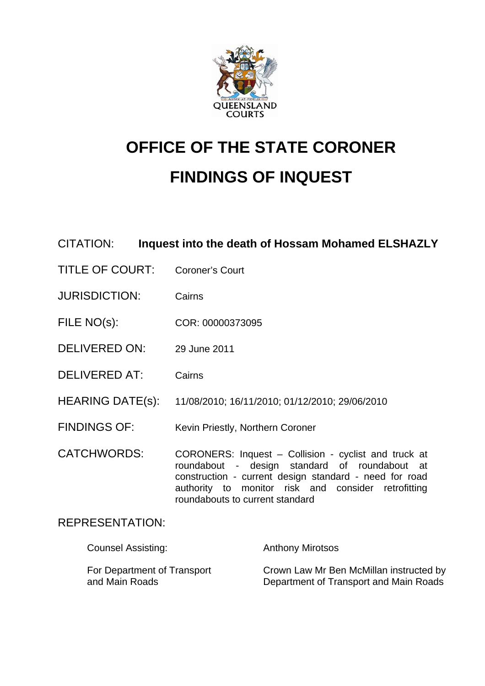

# **OFFICE OF THE STATE CORONER FINDINGS OF INQUEST**

## CITATION: **Inquest into the death of Hossam Mohamed ELSHAZLY**

- TITLE OF COURT: Coroner's Court
- JURISDICTION: Cairns
- FILE NO(s): COR: 00000373095
- DELIVERED ON: 29 June 2011
- DELIVERED AT: Cairns
- HEARING DATE(s): 11/08/2010; 16/11/2010; 01/12/2010; 29/06/2010
- FINDINGS OF: Kevin Priestly, Northern Coroner
- CATCHWORDS: CORONERS: Inquest Collision cyclist and truck at roundabout - design standard of roundabout at construction - current design standard - need for road authority to monitor risk and consider retrofitting roundabouts to current standard

## REPRESENTATION:

| <b>Counsel Assisting:</b>   | <b>Anthony Mirotsos</b>                 |
|-----------------------------|-----------------------------------------|
| For Department of Transport | Crown Law Mr Ben McMillan instructed by |
| and Main Roads              | Department of Transport and Main Roads  |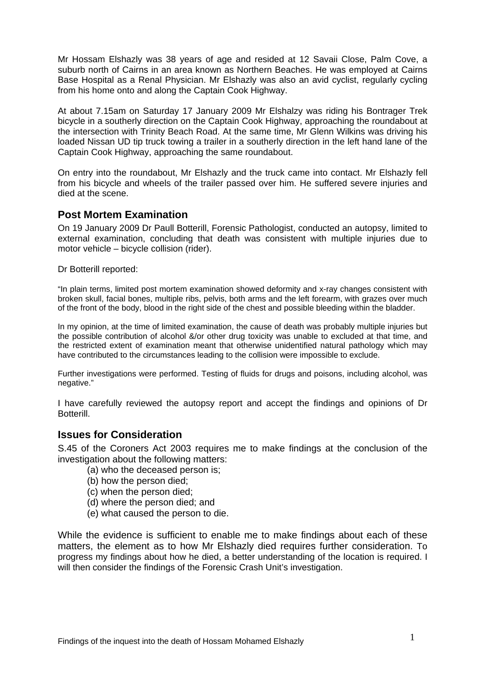Mr Hossam Elshazly was 38 years of age and resided at 12 Savaii Close, Palm Cove, a suburb north of Cairns in an area known as Northern Beaches. He was employed at Cairns Base Hospital as a Renal Physician. Mr Elshazly was also an avid cyclist, regularly cycling from his home onto and along the Captain Cook Highway.

At about 7.15am on Saturday 17 January 2009 Mr Elshalzy was riding his Bontrager Trek bicycle in a southerly direction on the Captain Cook Highway, approaching the roundabout at the intersection with Trinity Beach Road. At the same time, Mr Glenn Wilkins was driving his loaded Nissan UD tip truck towing a trailer in a southerly direction in the left hand lane of the Captain Cook Highway, approaching the same roundabout.

On entry into the roundabout, Mr Elshazly and the truck came into contact. Mr Elshazly fell from his bicycle and wheels of the trailer passed over him. He suffered severe injuries and died at the scene.

## **Post Mortem Examination**

On 19 January 2009 Dr Paull Botterill, Forensic Pathologist, conducted an autopsy, limited to external examination, concluding that death was consistent with multiple injuries due to motor vehicle – bicycle collision (rider).

Dr Botterill reported:

"In plain terms, limited post mortem examination showed deformity and x-ray changes consistent with broken skull, facial bones, multiple ribs, pelvis, both arms and the left forearm, with grazes over much of the front of the body, blood in the right side of the chest and possible bleeding within the bladder.

In my opinion, at the time of limited examination, the cause of death was probably multiple injuries but the possible contribution of alcohol &/or other drug toxicity was unable to excluded at that time, and the restricted extent of examination meant that otherwise unidentified natural pathology which may have contributed to the circumstances leading to the collision were impossible to exclude.

Further investigations were performed. Testing of fluids for drugs and poisons, including alcohol, was negative."

I have carefully reviewed the autopsy report and accept the findings and opinions of Dr Botterill.

## **Issues for Consideration**

S.45 of the Coroners Act 2003 requires me to make findings at the conclusion of the investigation about the following matters:

- (a) who the deceased person is;
- (b) how the person died;
- (c) when the person died;
- (d) where the person died; and
- (e) what caused the person to die.

While the evidence is sufficient to enable me to make findings about each of these matters, the element as to how Mr Elshazly died requires further consideration. To progress my findings about how he died, a better understanding of the location is required. I will then consider the findings of the Forensic Crash Unit's investigation.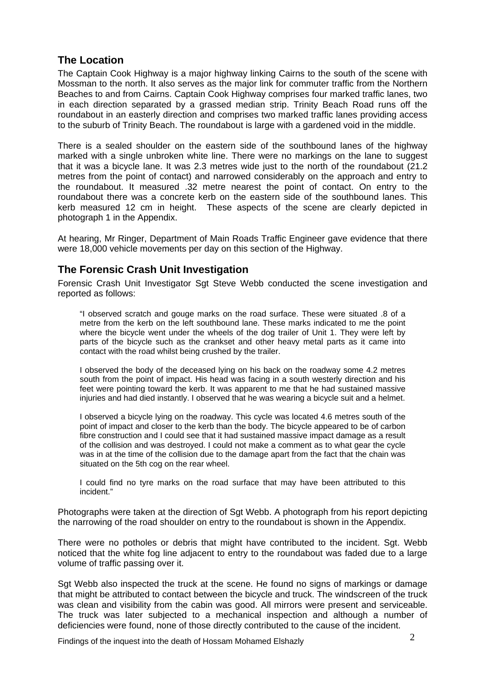## **The Location**

The Captain Cook Highway is a major highway linking Cairns to the south of the scene with Mossman to the north. It also serves as the major link for commuter traffic from the Northern Beaches to and from Cairns. Captain Cook Highway comprises four marked traffic lanes, two in each direction separated by a grassed median strip. Trinity Beach Road runs off the roundabout in an easterly direction and comprises two marked traffic lanes providing access to the suburb of Trinity Beach. The roundabout is large with a gardened void in the middle.

There is a sealed shoulder on the eastern side of the southbound lanes of the highway marked with a single unbroken white line. There were no markings on the lane to suggest that it was a bicycle lane. It was 2.3 metres wide just to the north of the roundabout (21.2 metres from the point of contact) and narrowed considerably on the approach and entry to the roundabout. It measured .32 metre nearest the point of contact. On entry to the roundabout there was a concrete kerb on the eastern side of the southbound lanes. This kerb measured 12 cm in height. These aspects of the scene are clearly depicted in photograph 1 in the Appendix.

At hearing, Mr Ringer, Department of Main Roads Traffic Engineer gave evidence that there were 18,000 vehicle movements per day on this section of the Highway.

## **The Forensic Crash Unit Investigation**

Forensic Crash Unit Investigator Sgt Steve Webb conducted the scene investigation and reported as follows:

"I observed scratch and gouge marks on the road surface. These were situated .8 of a metre from the kerb on the left southbound lane. These marks indicated to me the point where the bicycle went under the wheels of the dog trailer of Unit 1. They were left by parts of the bicycle such as the crankset and other heavy metal parts as it came into contact with the road whilst being crushed by the trailer.

I observed the body of the deceased lying on his back on the roadway some 4.2 metres south from the point of impact. His head was facing in a south westerly direction and his feet were pointing toward the kerb. It was apparent to me that he had sustained massive injuries and had died instantly. I observed that he was wearing a bicycle suit and a helmet.

I observed a bicycle lying on the roadway. This cycle was located 4.6 metres south of the point of impact and closer to the kerb than the body. The bicycle appeared to be of carbon fibre construction and I could see that it had sustained massive impact damage as a result of the collision and was destroyed. I could not make a comment as to what gear the cycle was in at the time of the collision due to the damage apart from the fact that the chain was situated on the 5th cog on the rear wheel.

I could find no tyre marks on the road surface that may have been attributed to this incident."

Photographs were taken at the direction of Sgt Webb. A photograph from his report depicting the narrowing of the road shoulder on entry to the roundabout is shown in the Appendix.

There were no potholes or debris that might have contributed to the incident. Sgt. Webb noticed that the white fog line adjacent to entry to the roundabout was faded due to a large volume of traffic passing over it.

Sgt Webb also inspected the truck at the scene. He found no signs of markings or damage that might be attributed to contact between the bicycle and truck. The windscreen of the truck was clean and visibility from the cabin was good. All mirrors were present and serviceable. The truck was later subjected to a mechanical inspection and although a number of deficiencies were found, none of those directly contributed to the cause of the incident.

Findings of the inquest into the death of Hossam Mohamed Elshazly  $2$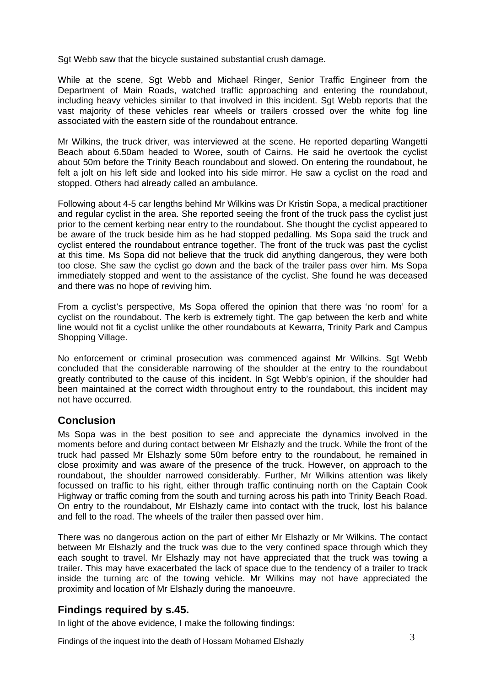Sgt Webb saw that the bicycle sustained substantial crush damage.

While at the scene, Sgt Webb and Michael Ringer, Senior Traffic Engineer from the Department of Main Roads, watched traffic approaching and entering the roundabout, including heavy vehicles similar to that involved in this incident. Sgt Webb reports that the vast majority of these vehicles rear wheels or trailers crossed over the white fog line associated with the eastern side of the roundabout entrance.

Mr Wilkins, the truck driver, was interviewed at the scene. He reported departing Wangetti Beach about 6.50am headed to Woree, south of Cairns. He said he overtook the cyclist about 50m before the Trinity Beach roundabout and slowed. On entering the roundabout, he felt a jolt on his left side and looked into his side mirror. He saw a cyclist on the road and stopped. Others had already called an ambulance.

Following about 4-5 car lengths behind Mr Wilkins was Dr Kristin Sopa, a medical practitioner and regular cyclist in the area. She reported seeing the front of the truck pass the cyclist just prior to the cement kerbing near entry to the roundabout. She thought the cyclist appeared to be aware of the truck beside him as he had stopped pedalling. Ms Sopa said the truck and cyclist entered the roundabout entrance together. The front of the truck was past the cyclist at this time. Ms Sopa did not believe that the truck did anything dangerous, they were both too close. She saw the cyclist go down and the back of the trailer pass over him. Ms Sopa immediately stopped and went to the assistance of the cyclist. She found he was deceased and there was no hope of reviving him.

From a cyclist's perspective, Ms Sopa offered the opinion that there was 'no room' for a cyclist on the roundabout. The kerb is extremely tight. The gap between the kerb and white line would not fit a cyclist unlike the other roundabouts at Kewarra, Trinity Park and Campus Shopping Village.

No enforcement or criminal prosecution was commenced against Mr Wilkins. Sgt Webb concluded that the considerable narrowing of the shoulder at the entry to the roundabout greatly contributed to the cause of this incident. In Sgt Webb's opinion, if the shoulder had been maintained at the correct width throughout entry to the roundabout, this incident may not have occurred.

## **Conclusion**

Ms Sopa was in the best position to see and appreciate the dynamics involved in the moments before and during contact between Mr Elshazly and the truck. While the front of the truck had passed Mr Elshazly some 50m before entry to the roundabout, he remained in close proximity and was aware of the presence of the truck. However, on approach to the roundabout, the shoulder narrowed considerably. Further, Mr Wilkins attention was likely focussed on traffic to his right, either through traffic continuing north on the Captain Cook Highway or traffic coming from the south and turning across his path into Trinity Beach Road. On entry to the roundabout, Mr Elshazly came into contact with the truck, lost his balance and fell to the road. The wheels of the trailer then passed over him.

There was no dangerous action on the part of either Mr Elshazly or Mr Wilkins. The contact between Mr Elshazly and the truck was due to the very confined space through which they each sought to travel. Mr Elshazly may not have appreciated that the truck was towing a trailer. This may have exacerbated the lack of space due to the tendency of a trailer to track inside the turning arc of the towing vehicle. Mr Wilkins may not have appreciated the proximity and location of Mr Elshazly during the manoeuvre.

## **Findings required by s.45.**

In light of the above evidence, I make the following findings:

Findings of the inquest into the death of Hossam Mohamed Elshazly **3**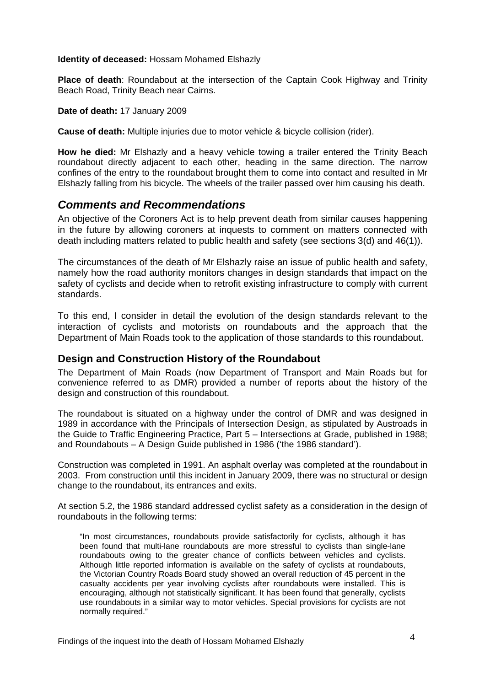#### **Identity of deceased:** Hossam Mohamed Elshazly

**Place of death**: Roundabout at the intersection of the Captain Cook Highway and Trinity Beach Road, Trinity Beach near Cairns.

#### **Date of death:** 17 January 2009

**Cause of death:** Multiple injuries due to motor vehicle & bicycle collision (rider).

**How he died:** Mr Elshazly and a heavy vehicle towing a trailer entered the Trinity Beach roundabout directly adjacent to each other, heading in the same direction. The narrow confines of the entry to the roundabout brought them to come into contact and resulted in Mr Elshazly falling from his bicycle. The wheels of the trailer passed over him causing his death.

## *Comments and Recommendations*

An objective of the Coroners Act is to help prevent death from similar causes happening in the future by allowing coroners at inquests to comment on matters connected with death including matters related to public health and safety (see sections 3(d) and 46(1)).

The circumstances of the death of Mr Elshazly raise an issue of public health and safety, namely how the road authority monitors changes in design standards that impact on the safety of cyclists and decide when to retrofit existing infrastructure to comply with current standards.

To this end, I consider in detail the evolution of the design standards relevant to the interaction of cyclists and motorists on roundabouts and the approach that the Department of Main Roads took to the application of those standards to this roundabout.

## **Design and Construction History of the Roundabout**

The Department of Main Roads (now Department of Transport and Main Roads but for convenience referred to as DMR) provided a number of reports about the history of the design and construction of this roundabout.

The roundabout is situated on a highway under the control of DMR and was designed in 1989 in accordance with the Principals of Intersection Design, as stipulated by Austroads in the Guide to Traffic Engineering Practice, Part 5 – Intersections at Grade, published in 1988; and Roundabouts – A Design Guide published in 1986 ('the 1986 standard').

Construction was completed in 1991. An asphalt overlay was completed at the roundabout in 2003. From construction until this incident in January 2009, there was no structural or design change to the roundabout, its entrances and exits.

At section 5.2, the 1986 standard addressed cyclist safety as a consideration in the design of roundabouts in the following terms:

"In most circumstances, roundabouts provide satisfactorily for cyclists, although it has been found that multi-lane roundabouts are more stressful to cyclists than single-lane roundabouts owing to the greater chance of conflicts between vehicles and cyclists. Although little reported information is available on the safety of cyclists at roundabouts, the Victorian Country Roads Board study showed an overall reduction of 45 percent in the casualty accidents per year involving cyclists after roundabouts were installed. This is encouraging, although not statistically significant. It has been found that generally, cyclists use roundabouts in a similar way to motor vehicles. Special provisions for cyclists are not normally required."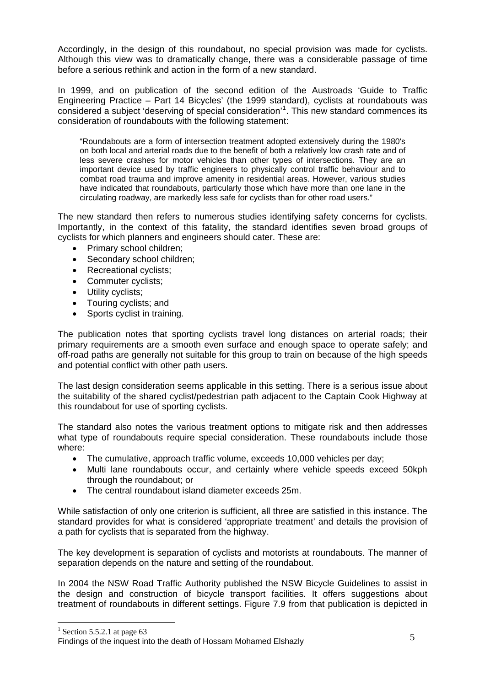Accordingly, in the design of this roundabout, no special provision was made for cyclists. Although this view was to dramatically change, there was a considerable passage of time before a serious rethink and action in the form of a new standard.

In 1999, and on publication of the second edition of the Austroads 'Guide to Traffic Engineering Practice – Part 14 Bicycles' (the 1999 standard), cyclists at roundabouts was considered a subject 'deserving of special consideration'<sup>[1](#page-5-0)</sup>. This new standard commences its consideration of roundabouts with the following statement:

"Roundabouts are a form of intersection treatment adopted extensively during the 1980's on both local and arterial roads due to the benefit of both a relatively low crash rate and of less severe crashes for motor vehicles than other types of intersections. They are an important device used by traffic engineers to physically control traffic behaviour and to combat road trauma and improve amenity in residential areas. However, various studies have indicated that roundabouts, particularly those which have more than one lane in the circulating roadway, are markedly less safe for cyclists than for other road users."

The new standard then refers to numerous studies identifying safety concerns for cyclists. Importantly, in the context of this fatality, the standard identifies seven broad groups of cyclists for which planners and engineers should cater. These are:

- Primary school children;
- Secondary school children;
- Recreational cyclists;
- Commuter cyclists;
- Utility cyclists;
- Touring cyclists; and
- Sports cyclist in training.

The publication notes that sporting cyclists travel long distances on arterial roads; their primary requirements are a smooth even surface and enough space to operate safely; and off-road paths are generally not suitable for this group to train on because of the high speeds and potential conflict with other path users.

The last design consideration seems applicable in this setting. There is a serious issue about the suitability of the shared cyclist/pedestrian path adjacent to the Captain Cook Highway at this roundabout for use of sporting cyclists.

The standard also notes the various treatment options to mitigate risk and then addresses what type of roundabouts require special consideration. These roundabouts include those where:

- The cumulative, approach traffic volume, exceeds 10,000 vehicles per day;
- Multi lane roundabouts occur, and certainly where vehicle speeds exceed 50kph through the roundabout; or
- The central roundabout island diameter exceeds 25m.

While satisfaction of only one criterion is sufficient, all three are satisfied in this instance. The standard provides for what is considered 'appropriate treatment' and details the provision of a path for cyclists that is separated from the highway.

The key development is separation of cyclists and motorists at roundabouts. The manner of separation depends on the nature and setting of the roundabout.

In 2004 the NSW Road Traffic Authority published the NSW Bicycle Guidelines to assist in the design and construction of bicycle transport facilities. It offers suggestions about treatment of roundabouts in different settings. Figure 7.9 from that publication is depicted in

 $\overline{a}$ 

<sup>&</sup>lt;sup>1</sup> Section 5.5.2.1 at page 63

<span id="page-5-0"></span>Example 1.5.2.1 at page 65<br>Findings of the inquest into the death of Hossam Mohamed Elshazly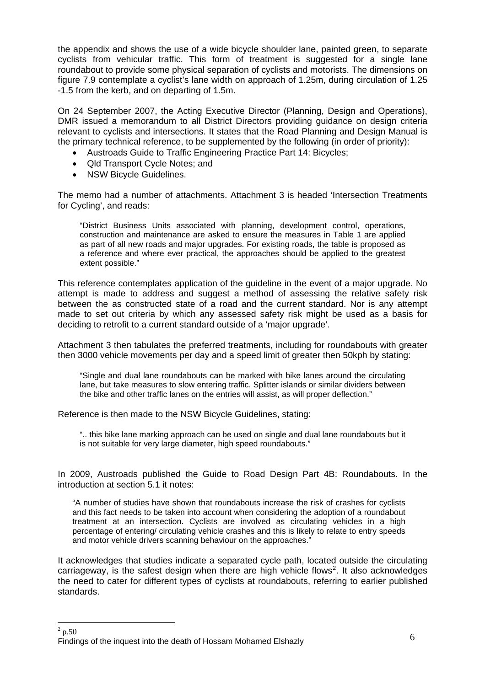the appendix and shows the use of a wide bicycle shoulder lane, painted green, to separate cyclists from vehicular traffic. This form of treatment is suggested for a single lane roundabout to provide some physical separation of cyclists and motorists. The dimensions on figure 7.9 contemplate a cyclist's lane width on approach of 1.25m, during circulation of 1.25 -1.5 from the kerb, and on departing of 1.5m.

On 24 September 2007, the Acting Executive Director (Planning, Design and Operations), DMR issued a memorandum to all District Directors providing guidance on design criteria relevant to cyclists and intersections. It states that the Road Planning and Design Manual is the primary technical reference, to be supplemented by the following (in order of priority):

- Austroads Guide to Traffic Engineering Practice Part 14: Bicycles;
- Qld Transport Cycle Notes; and
- NSW Bicycle Guidelines.

The memo had a number of attachments. Attachment 3 is headed 'Intersection Treatments for Cycling', and reads:

"District Business Units associated with planning, development control, operations, construction and maintenance are asked to ensure the measures in Table 1 are applied as part of all new roads and major upgrades. For existing roads, the table is proposed as a reference and where ever practical, the approaches should be applied to the greatest extent possible."

This reference contemplates application of the guideline in the event of a major upgrade. No attempt is made to address and suggest a method of assessing the relative safety risk between the as constructed state of a road and the current standard. Nor is any attempt made to set out criteria by which any assessed safety risk might be used as a basis for deciding to retrofit to a current standard outside of a 'major upgrade'.

Attachment 3 then tabulates the preferred treatments, including for roundabouts with greater then 3000 vehicle movements per day and a speed limit of greater then 50kph by stating:

"Single and dual lane roundabouts can be marked with bike lanes around the circulating lane, but take measures to slow entering traffic. Splitter islands or similar dividers between the bike and other traffic lanes on the entries will assist, as will proper deflection."

Reference is then made to the NSW Bicycle Guidelines, stating:

".. this bike lane marking approach can be used on single and dual lane roundabouts but it is not suitable for very large diameter, high speed roundabouts."

In 2009, Austroads published the Guide to Road Design Part 4B: Roundabouts. In the introduction at section 5.1 it notes:

"A number of studies have shown that roundabouts increase the risk of crashes for cyclists and this fact needs to be taken into account when considering the adoption of a roundabout treatment at an intersection. Cyclists are involved as circulating vehicles in a high percentage of entering/ circulating vehicle crashes and this is likely to relate to entry speeds and motor vehicle drivers scanning behaviour on the approaches."

It acknowledges that studies indicate a separated cycle path, located outside the circulating carriageway, is the safest design when there are high vehicle flows<sup>[2](#page-6-0)</sup>. It also acknowledges the need to cater for different types of cyclists at roundabouts, referring to earlier published standards.

<span id="page-6-0"></span>Findings of the inquest into the death of Hossam Mohamed Elshazly  $6\,$  $\frac{2}{2}$  p.50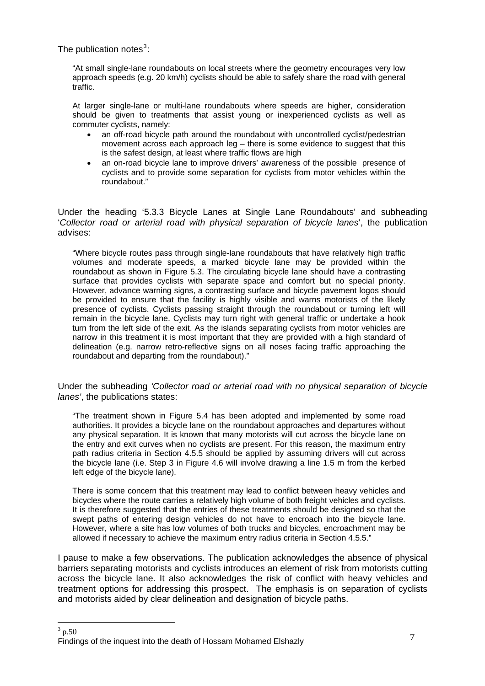The publication notes $3$ :

"At small single-lane roundabouts on local streets where the geometry encourages very low approach speeds (e.g. 20 km/h) cyclists should be able to safely share the road with general traffic.

At larger single-lane or multi-lane roundabouts where speeds are higher, consideration should be given to treatments that assist young or inexperienced cyclists as well as commuter cyclists, namely:

- an off-road bicycle path around the roundabout with uncontrolled cyclist/pedestrian movement across each approach leg – there is some evidence to suggest that this is the safest design, at least where traffic flows are high
- an on-road bicycle lane to improve drivers' awareness of the possible presence of cyclists and to provide some separation for cyclists from motor vehicles within the roundabout."

Under the heading '5.3.3 Bicycle Lanes at Single Lane Roundabouts' and subheading '*Collector road or arterial road with physical separation of bicycle lanes*', the publication advises:

"Where bicycle routes pass through single-lane roundabouts that have relatively high traffic volumes and moderate speeds, a marked bicycle lane may be provided within the roundabout as shown in Figure 5.3. The circulating bicycle lane should have a contrasting surface that provides cyclists with separate space and comfort but no special priority. However, advance warning signs, a contrasting surface and bicycle pavement logos should be provided to ensure that the facility is highly visible and warns motorists of the likely presence of cyclists. Cyclists passing straight through the roundabout or turning left will remain in the bicycle lane. Cyclists may turn right with general traffic or undertake a hook turn from the left side of the exit. As the islands separating cyclists from motor vehicles are narrow in this treatment it is most important that they are provided with a high standard of delineation (e.g. narrow retro-reflective signs on all noses facing traffic approaching the roundabout and departing from the roundabout)."

Under the subheading *'Collector road or arterial road with no physical separation of bicycle lanes'*, the publications states:

"The treatment shown in Figure 5.4 has been adopted and implemented by some road authorities. It provides a bicycle lane on the roundabout approaches and departures without any physical separation. It is known that many motorists will cut across the bicycle lane on the entry and exit curves when no cyclists are present. For this reason, the maximum entry path radius criteria in Section 4.5.5 should be applied by assuming drivers will cut across the bicycle lane (i.e. Step 3 in Figure 4.6 will involve drawing a line 1.5 m from the kerbed left edge of the bicycle lane).

There is some concern that this treatment may lead to conflict between heavy vehicles and bicycles where the route carries a relatively high volume of both freight vehicles and cyclists. It is therefore suggested that the entries of these treatments should be designed so that the swept paths of entering design vehicles do not have to encroach into the bicycle lane. However, where a site has low volumes of both trucks and bicycles, encroachment may be allowed if necessary to achieve the maximum entry radius criteria in Section 4.5.5."

I pause to make a few observations. The publication acknowledges the absence of physical barriers separating motorists and cyclists introduces an element of risk from motorists cutting across the bicycle lane. It also acknowledges the risk of conflict with heavy vehicles and treatment options for addressing this prospect. The emphasis is on separation of cyclists and motorists aided by clear delineation and designation of bicycle paths.

<span id="page-7-0"></span>Findings of the inquest into the death of Hossam Mohamed Elshazly **T** and the inquest into the death of Hossam Mohamed Elshazly  $\frac{1}{3}$  p.50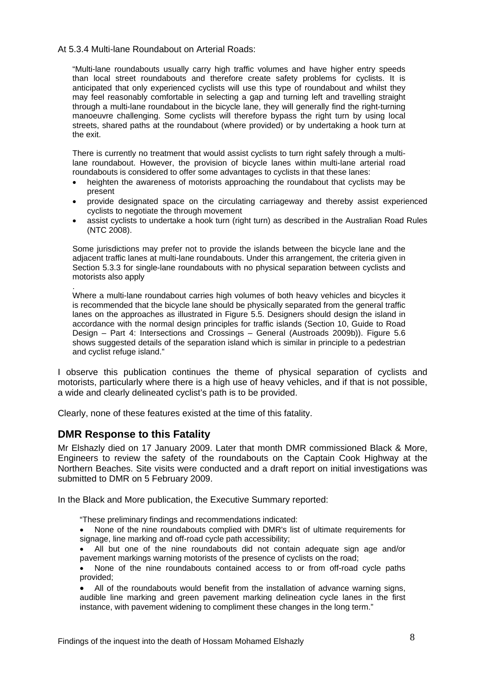#### At 5.3.4 Multi-lane Roundabout on Arterial Roads:

"Multi-lane roundabouts usually carry high traffic volumes and have higher entry speeds than local street roundabouts and therefore create safety problems for cyclists. It is anticipated that only experienced cyclists will use this type of roundabout and whilst they may feel reasonably comfortable in selecting a gap and turning left and travelling straight through a multi-lane roundabout in the bicycle lane, they will generally find the right-turning manoeuvre challenging. Some cyclists will therefore bypass the right turn by using local streets, shared paths at the roundabout (where provided) or by undertaking a hook turn at the exit.

There is currently no treatment that would assist cyclists to turn right safely through a multilane roundabout. However, the provision of bicycle lanes within multi-lane arterial road roundabouts is considered to offer some advantages to cyclists in that these lanes:

- heighten the awareness of motorists approaching the roundabout that cyclists may be present
- provide designated space on the circulating carriageway and thereby assist experienced cyclists to negotiate the through movement
- assist cyclists to undertake a hook turn (right turn) as described in the Australian Road Rules (NTC 2008).

Some jurisdictions may prefer not to provide the islands between the bicycle lane and the adjacent traffic lanes at multi-lane roundabouts. Under this arrangement, the criteria given in Section 5.3.3 for single-lane roundabouts with no physical separation between cyclists and motorists also apply

Where a multi-lane roundabout carries high volumes of both heavy vehicles and bicycles it is recommended that the bicycle lane should be physically separated from the general traffic lanes on the approaches as illustrated in Figure 5.5. Designers should design the island in accordance with the normal design principles for traffic islands (Section 10, Guide to Road Design – Part 4: Intersections and Crossings – General (Austroads 2009b)). Figure 5.6 shows suggested details of the separation island which is similar in principle to a pedestrian and cyclist refuge island."

I observe this publication continues the theme of physical separation of cyclists and motorists, particularly where there is a high use of heavy vehicles, and if that is not possible, a wide and clearly delineated cyclist's path is to be provided.

Clearly, none of these features existed at the time of this fatality.

#### **DMR Response to this Fatality**

.

Mr Elshazly died on 17 January 2009. Later that month DMR commissioned Black & More, Engineers to review the safety of the roundabouts on the Captain Cook Highway at the Northern Beaches. Site visits were conducted and a draft report on initial investigations was submitted to DMR on 5 February 2009.

In the Black and More publication, the Executive Summary reported:

"These preliminary findings and recommendations indicated:

• None of the nine roundabouts complied with DMR's list of ultimate requirements for signage, line marking and off-road cycle path accessibility;

• All but one of the nine roundabouts did not contain adequate sign age and/or pavement markings warning motorists of the presence of cyclists on the road;

• None of the nine roundabouts contained access to or from off-road cycle paths provided;

• All of the roundabouts would benefit from the installation of advance warning signs, audible line marking and green pavement marking delineation cycle lanes in the first instance, with pavement widening to compliment these changes in the long term."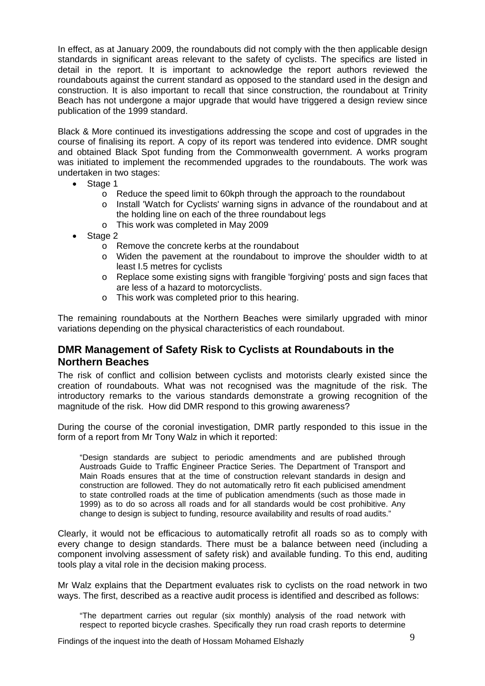In effect, as at January 2009, the roundabouts did not comply with the then applicable design standards in significant areas relevant to the safety of cyclists. The specifics are listed in detail in the report. It is important to acknowledge the report authors reviewed the roundabouts against the current standard as opposed to the standard used in the design and construction. It is also important to recall that since construction, the roundabout at Trinity Beach has not undergone a major upgrade that would have triggered a design review since publication of the 1999 standard.

Black & More continued its investigations addressing the scope and cost of upgrades in the course of finalising its report. A copy of its report was tendered into evidence. DMR sought and obtained Black Spot funding from the Commonwealth government. A works program was initiated to implement the recommended upgrades to the roundabouts. The work was undertaken in two stages:

- Stage 1
	- o Reduce the speed limit to 60kph through the approach to the roundabout
	- o Install 'Watch for Cyclists' warning signs in advance of the roundabout and at the holding line on each of the three roundabout legs
	- o This work was completed in May 2009
- Stage 2
	- o Remove the concrete kerbs at the roundabout
	- o Widen the pavement at the roundabout to improve the shoulder width to at least I.5 metres for cyclists
	- o Replace some existing signs with frangible 'forgiving' posts and sign faces that are less of a hazard to motorcyclists.
	- o This work was completed prior to this hearing.

The remaining roundabouts at the Northern Beaches were similarly upgraded with minor variations depending on the physical characteristics of each roundabout.

## **DMR Management of Safety Risk to Cyclists at Roundabouts in the Northern Beaches**

The risk of conflict and collision between cyclists and motorists clearly existed since the creation of roundabouts. What was not recognised was the magnitude of the risk. The introductory remarks to the various standards demonstrate a growing recognition of the magnitude of the risk. How did DMR respond to this growing awareness?

During the course of the coronial investigation, DMR partly responded to this issue in the form of a report from Mr Tony Walz in which it reported:

"Design standards are subject to periodic amendments and are published through Austroads Guide to Traffic Engineer Practice Series. The Department of Transport and Main Roads ensures that at the time of construction relevant standards in design and construction are followed. They do not automatically retro fit each publicised amendment to state controlled roads at the time of publication amendments (such as those made in 1999) as to do so across all roads and for all standards would be cost prohibitive. Any change to design is subject to funding, resource availability and results of road audits."

Clearly, it would not be efficacious to automatically retrofit all roads so as to comply with every change to design standards. There must be a balance between need (including a component involving assessment of safety risk) and available funding. To this end, auditing tools play a vital role in the decision making process.

Mr Walz explains that the Department evaluates risk to cyclists on the road network in two ways. The first, described as a reactive audit process is identified and described as follows:

"The department carries out regular (six monthly) analysis of the road network with respect to reported bicycle crashes. Specifically they run road crash reports to determine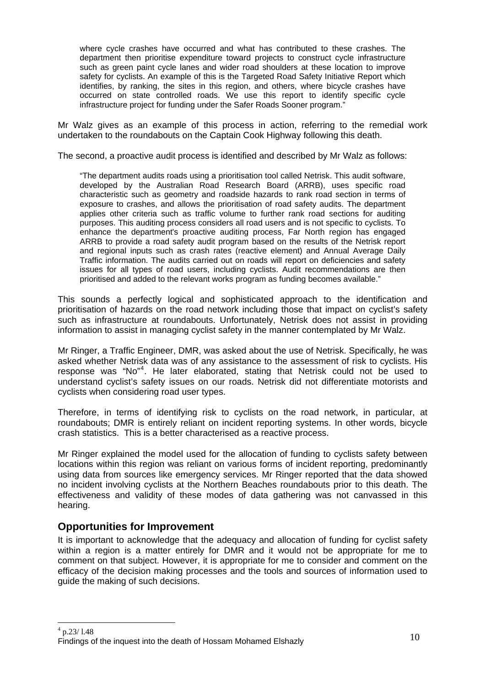where cycle crashes have occurred and what has contributed to these crashes. The department then prioritise expenditure toward projects to construct cycle infrastructure such as green paint cycle lanes and wider road shoulders at these location to improve safety for cyclists. An example of this is the Targeted Road Safety Initiative Report which identifies, by ranking, the sites in this region, and others, where bicycle crashes have occurred on state controlled roads. We use this report to identify specific cycle infrastructure project for funding under the Safer Roads Sooner program."

Mr Walz gives as an example of this process in action, referring to the remedial work undertaken to the roundabouts on the Captain Cook Highway following this death.

The second, a proactive audit process is identified and described by Mr Walz as follows:

"The department audits roads using a prioritisation tool called Netrisk. This audit software, developed by the Australian Road Research Board (ARRB), uses specific road characteristic such as geometry and roadside hazards to rank road section in terms of exposure to crashes, and allows the prioritisation of road safety audits. The department applies other criteria such as traffic volume to further rank road sections for auditing purposes. This auditing process considers all road users and is not specific to cyclists. To enhance the department's proactive auditing process, Far North region has engaged ARRB to provide a road safety audit program based on the results of the Netrisk report and regional inputs such as crash rates (reactive element) and Annual Average Daily Traffic information. The audits carried out on roads will report on deficiencies and safety issues for all types of road users, including cyclists. Audit recommendations are then prioritised and added to the relevant works program as funding becomes available."

This sounds a perfectly logical and sophisticated approach to the identification and prioritisation of hazards on the road network including those that impact on cyclist's safety such as infrastructure at roundabouts. Unfortunately, Netrisk does not assist in providing information to assist in managing cyclist safety in the manner contemplated by Mr Walz.

Mr Ringer, a Traffic Engineer, DMR, was asked about the use of Netrisk. Specifically, he was asked whether Netrisk data was of any assistance to the assessment of risk to cyclists. His response was "No"<sup>[4](#page-10-0)</sup>. He later elaborated, stating that Netrisk could not be used to understand cyclist's safety issues on our roads. Netrisk did not differentiate motorists and cyclists when considering road user types.

Therefore, in terms of identifying risk to cyclists on the road network, in particular, at roundabouts; DMR is entirely reliant on incident reporting systems. In other words, bicycle crash statistics. This is a better characterised as a reactive process.

Mr Ringer explained the model used for the allocation of funding to cyclists safety between locations within this region was reliant on various forms of incident reporting, predominantly using data from sources like emergency services. Mr Ringer reported that the data showed no incident involving cyclists at the Northern Beaches roundabouts prior to this death. The effectiveness and validity of these modes of data gathering was not canvassed in this hearing.

## **Opportunities for Improvement**

<span id="page-10-0"></span>It is important to acknowledge that the adequacy and allocation of funding for cyclist safety within a region is a matter entirely for DMR and it would not be appropriate for me to comment on that subject. However, it is appropriate for me to consider and comment on the efficacy of the decision making processes and the tools and sources of information used to guide the making of such decisions.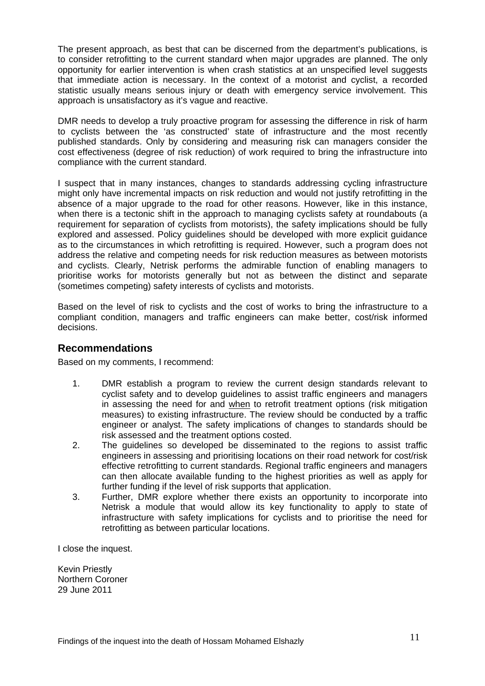The present approach, as best that can be discerned from the department's publications, is to consider retrofitting to the current standard when major upgrades are planned. The only opportunity for earlier intervention is when crash statistics at an unspecified level suggests that immediate action is necessary. In the context of a motorist and cyclist, a recorded statistic usually means serious injury or death with emergency service involvement. This approach is unsatisfactory as it's vague and reactive.

DMR needs to develop a truly proactive program for assessing the difference in risk of harm to cyclists between the 'as constructed' state of infrastructure and the most recently published standards. Only by considering and measuring risk can managers consider the cost effectiveness (degree of risk reduction) of work required to bring the infrastructure into compliance with the current standard.

I suspect that in many instances, changes to standards addressing cycling infrastructure might only have incremental impacts on risk reduction and would not justify retrofitting in the absence of a major upgrade to the road for other reasons. However, like in this instance, when there is a tectonic shift in the approach to managing cyclists safety at roundabouts (a requirement for separation of cyclists from motorists), the safety implications should be fully explored and assessed. Policy guidelines should be developed with more explicit guidance as to the circumstances in which retrofitting is required. However, such a program does not address the relative and competing needs for risk reduction measures as between motorists and cyclists. Clearly, Netrisk performs the admirable function of enabling managers to prioritise works for motorists generally but not as between the distinct and separate (sometimes competing) safety interests of cyclists and motorists.

Based on the level of risk to cyclists and the cost of works to bring the infrastructure to a compliant condition, managers and traffic engineers can make better, cost/risk informed decisions.

## **Recommendations**

Based on my comments, I recommend:

- 1. DMR establish a program to review the current design standards relevant to cyclist safety and to develop guidelines to assist traffic engineers and managers in assessing the need for and when to retrofit treatment options (risk mitigation measures) to existing infrastructure. The review should be conducted by a traffic engineer or analyst. The safety implications of changes to standards should be risk assessed and the treatment options costed.
- 2. The guidelines so developed be disseminated to the regions to assist traffic engineers in assessing and prioritising locations on their road network for cost/risk effective retrofitting to current standards. Regional traffic engineers and managers can then allocate available funding to the highest priorities as well as apply for further funding if the level of risk supports that application.
- 3. Further, DMR explore whether there exists an opportunity to incorporate into Netrisk a module that would allow its key functionality to apply to state of infrastructure with safety implications for cyclists and to prioritise the need for retrofitting as between particular locations.

I close the inquest.

Kevin Priestly Northern Coroner 29 June 2011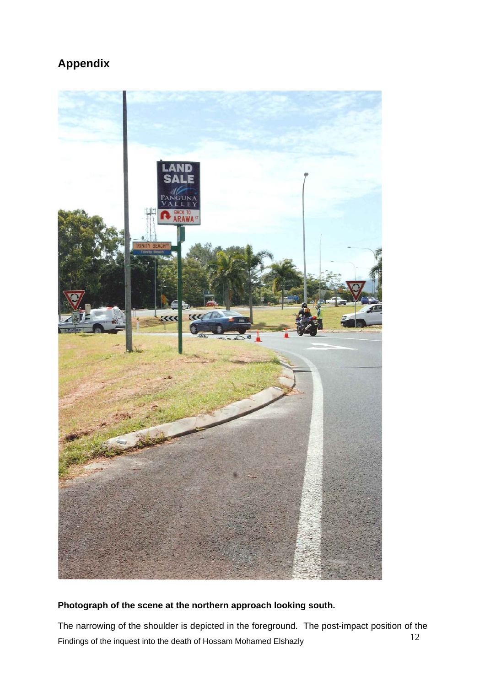# **Appendix**



## **Photograph of the scene at the northern approach looking south.**

Findings of the inquest into the death of Hossam Mohamed Elshazly 12 The narrowing of the shoulder is depicted in the foreground. The post-impact position of the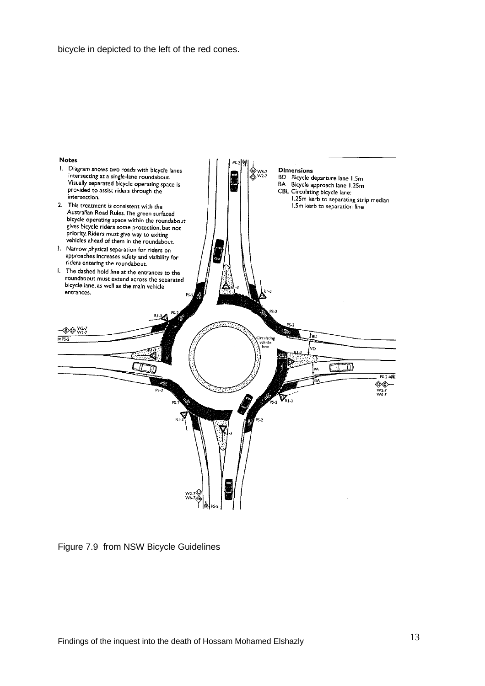bicycle in depicted to the left of the red cones.



Figure 7.9 from NSW Bicycle Guidelines